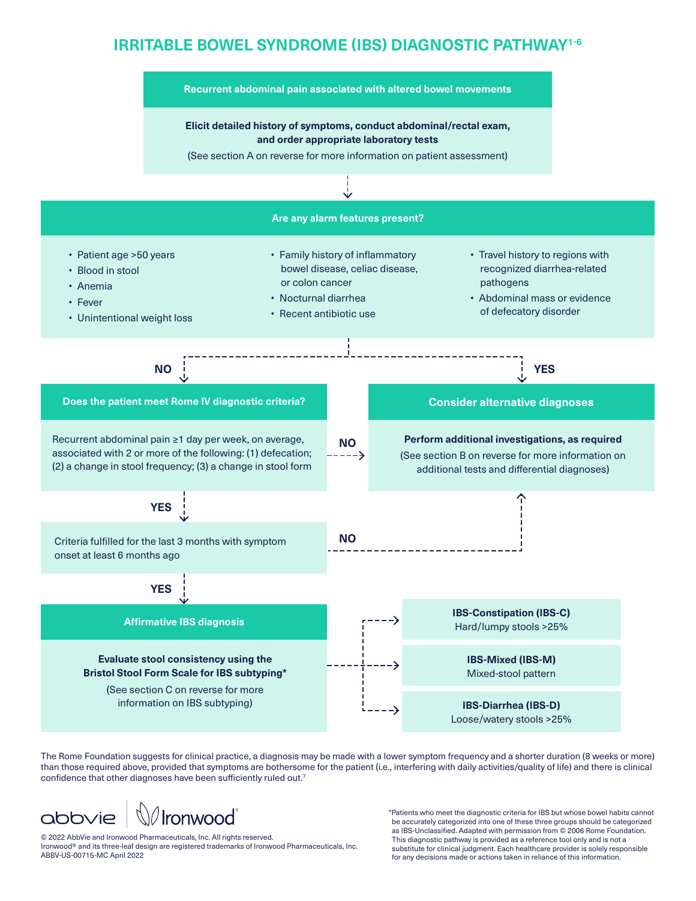# **IRRITABLE BOWEL SYNDROME (IBS) DIAGNOSTIC PATHWAY1-6**



The Rome Foundation suggests for clinical practice, a diagnosis may be made with a lower symptom frequency and a shorter duration (8 weeks or more) than those required above, provided that symptoms are bothersome for the patient (i.e., interfering with daily activities/quality of life) and there is clinical confidence that other diagnoses have been sufficiently ruled out.<sup>7</sup>



© 2022 AbbVie and Ironwood Pharmaceuticals, Inc. All rights reserved. Ironwood® and its three-leaf design are registered trademarks of Ironwood Pharmaceuticals, Inc. ABBV-US-00715-MC April 2022

\*Patients who meet the diagnostic criteria for IBS but whose bowel habits cannot be accurately categorized into one of these three groups should be categorized as IBS-Unclassified. Adapted with permission from © 2006 Rome Foundation. This diagnostic pathway is provided as a reference tool only and is not a substitute for clinical judgment. Each healthcare provider is solely responsible for any decisions made or actions taken in reliance of this information.